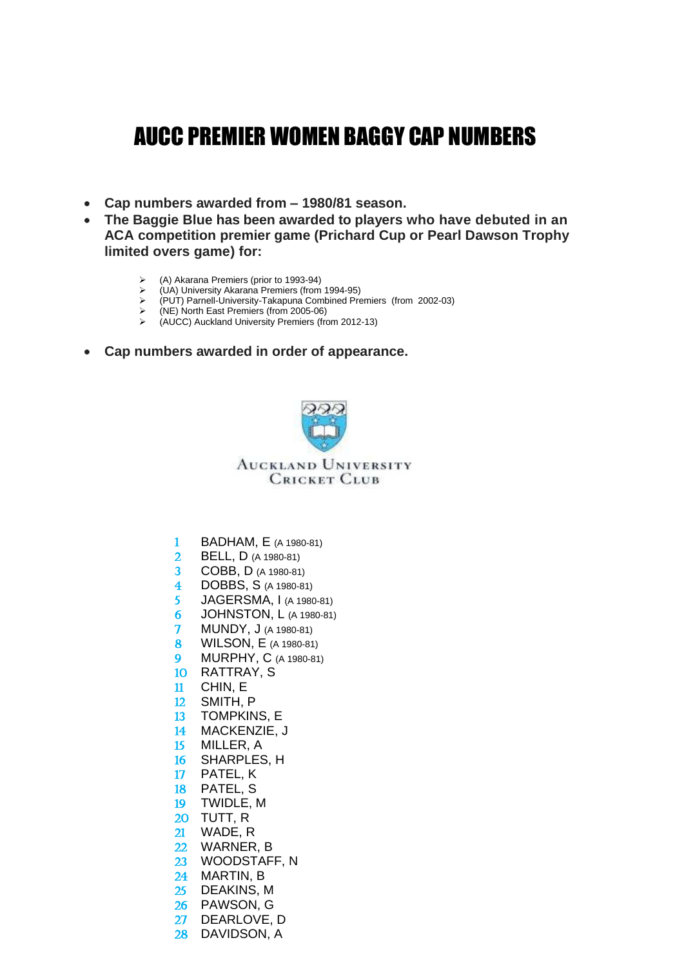## AUCC PREMIER WOMEN BAGGY CAP NUMBERS

- **Cap numbers awarded from – 1980/81 season.**
- **The Baggie Blue has been awarded to players who have debuted in an ACA competition premier game (Prichard Cup or Pearl Dawson Trophy limited overs game) for:**
	- ➢ (A) Akarana Premiers (prior to 1993-94)
	- ➢ (UA) University Akarana Premiers (from 1994-95)
	- $\rho$  (PUT) Parnell-University-Takapuna Combined Premiers (from 2002-03)<br>  $\rho$  (NF) North East Premiers (from 2005-06)
	- $\rangle$  (NE) North East Premiers (from 2005-06)<br>  $\rangle$  (AUCC) Auckland University Premiers (from
	- ➢ (AUCC) Auckland University Premiers (from 2012-13)
- **Cap numbers awarded in order of appearance.**



- BADHAM, E (A 1980-81)
- BELL, D (A 1980-81)
- COBB, D (A 1980-81)
- **4 DOBBS, S (A 1980-81)**<br>5 **JAGERSMA. I (A 1980)**
- JAGERSMA, I (A 1980-81)
- JOHNSTON, L (A 1980-81)
- MUNDY, J (A 1980-81)
- WILSON, E (A 1980-81)
- MURPHY, C (A 1980-81)
- RATTRAY, S
- CHIN, E
- SMITH, P
- TOMPKINS, E
- MACKENZIE, J
- MILLER, A
- SHARPLES, H
- PATEL, K
- PATEL, S
- TWIDLE, M
- TUTT, R
- WADE, R
- WARNER, B
- WOODSTAFF, N
- MARTIN, B
- DEAKINS, M
- PAWSON, G
- DEARLOVE, D
- DAVIDSON, A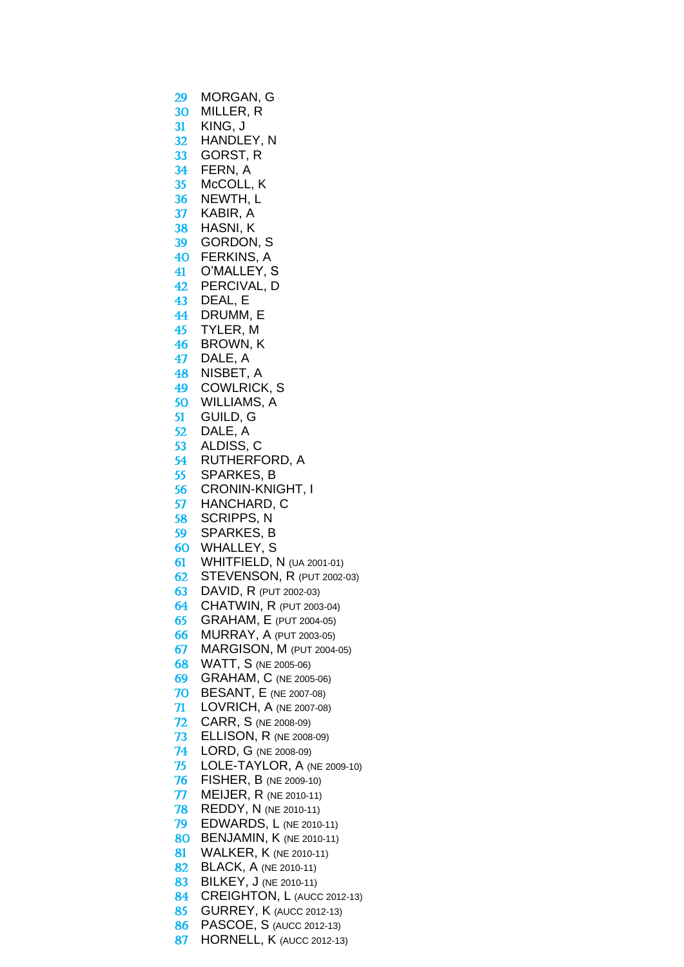- MORGAN, G MILLER, R KING, J HANDLEY, N GORST, R FERN, A McCOLL, K NEWTH, L KABIR, A HASNI, K GORDON, S FERKINS, A O'MALLEY, S PERCIVAL, D DEAL, E DRUMM, E TYLER, M BROWN, K DALE, A NISBET, A COWLRICK, S WILLIAMS, A GUILD, G DALE, A 53 ALDISS, C<br>54 RUTHERF RUTHERFORD, A SPARKES, B CRONIN-KNIGHT, I HANCHARD, C SCRIPPS, N SPARKES, B WHALLEY, S WHITFIELD, N (UA 2001-01) STEVENSON, R (PUT 2002-03) DAVID, R (PUT 2002-03) CHATWIN, R (PUT 2003-04) GRAHAM, E (PUT 2004-05) MURRAY, A (PUT 2003-05) MARGISON, M (PUT 2004-05) WATT, S (NE 2005-06) GRAHAM, C (NE 2005-06) BESANT, E (NE 2007-08) LOVRICH, A (NE 2007-08) CARR, S (NE 2008-09) ELLISON, R (NE 2008-09) LORD, G (NE 2008-09) LOLE-TAYLOR, A (NE 2009-10) FISHER, B (NE 2009-10) MEIJER, R (NE 2010-11) REDDY, N (NE 2010-11) EDWARDS, L (NE 2010-11) BENJAMIN, K (NE 2010-11) 81 WALKER, K (NE 2010-11) **82 BLACK, A (NE 2010-11)** 83 BILKEY, J (NE 2010-11) 84 CREIGHTON, L (AUCC 2012-13) **85 GURREY, K (AUCC 2012-13)**  PASCOE, S (AUCC 2012-13)
	- 87 HORNELL, K (AUCC 2012-13)